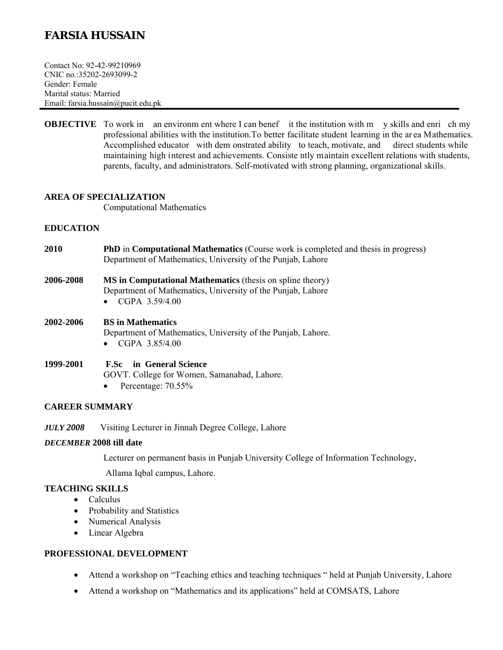# **FARSIA HUSSAIN**

Contact No: 92-42-99210969 CNIC no.:35202-2693099-2 Gender: Female Marital status: Married Email: farsia.hussain@pucit.edu.pk

**OBJECTIVE** To work in an environm ent where I can benef it the institution with m y skills and enri ch my professional abilities with the institution. To better facilitate student learning in the ar ea Mathematics. Accomplished educator with dem onstrated ability to teach, motivate, and direct students while maintaining high interest and achievements. Consiste ntly maintain excellent relations with students, parents, faculty, and administrators. Self-motivated with strong planning, organizational skills.

## **AREA OF SPECIALIZATION**

Computational Mathematics

## **EDUCATION**

- **2010 PhD** in **Computational Mathematics** (Course work is completed and thesis in progress) Department of Mathematics, University of the Punjab, Lahore
- **2006-2008 MS in Computational Mathematics** (thesis on spline theory) Department of Mathematics, University of the Punjab, Lahore
	- $\bullet$  CGPA 3.59/4.00
- **2002-2006 BS in Mathematics**  Department of Mathematics, University of the Punjab, Lahore.  $\bullet$  CGPA 3.85/4.00
- **1999-2001 F.Sc in General Science** GOVT. College for Women, Samanabad, Lahore.
	- Percentage:  $70.55\%$

## **CAREER SUMMARY**

*JULY 2008* Visiting Lecturer in Jinnah Degree College, Lahore

## *DECEMBER* **2008 till date**

Lecturer on permanent basis in Punjab University College of Information Technology,

Allama Iqbal campus, Lahore.

# **TEACHING SKILLS**

- Calculus
- Probability and Statistics
- Numerical Analysis
- Linear Algebra

## **PROFESSIONAL DEVELOPMENT**

- Attend a workshop on "Teaching ethics and teaching techniques " held at Punjab University, Lahore
- Attend a workshop on "Mathematics and its applications" held at COMSATS, Lahore